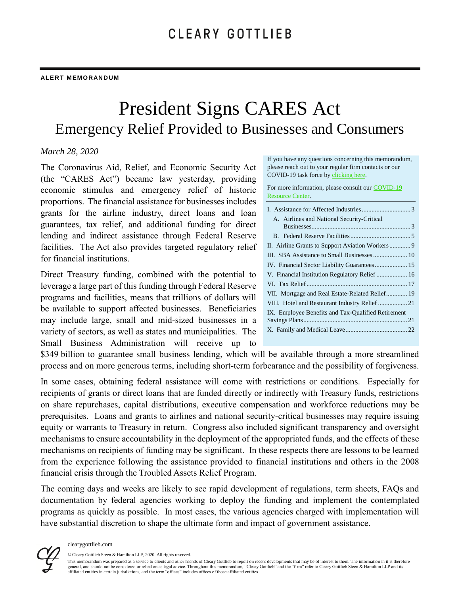# President Signs CARES Act Emergency Relief Provided to Businesses and Consumers

### *March 28, 2020*

The Coronavirus Aid, Relief, and Economic Security Act (the "CARES Act") became law yesterday, providing economic stimulus and emergency relief of historic proportions. The financial assistance for businesses includes grants for the airline industry, direct loans and loan guarantees, tax relief, and additional funding for direct lending and indirect assistance through Federal Reserve facilities. The Act also provides targeted regulatory relief for financial institutions.

Direct Treasury funding, combined with the potential to leverage a large part of this funding through Federal Reserve programs and facilities, means that trillions of dollars will be available to support affected businesses. Beneficiaries may include large, small and mid-sized businesses in a variety of sectors, as well as states and municipalities. The Small Business Administration will receive up to

If you have any questions concerning this memorandum, please reach out to your regular firm contacts or our COVID-19 task force b[y clicking here.](mailto:Global-Cleary%20Covid-19%20Taskforce%20%3cGlobal-Cleary_Covid-19_Taskforce@cgsh.com%3e)

For more information, please consult our [COVID-19](https://www.clearygottlieb.com/news-and-insights/publication-listing/covid-19-resource-center)  [Resource Center.](https://www.clearygottlieb.com/news-and-insights/publication-listing/covid-19-resource-center)

| A. Airlines and National Security-Critical         |
|----------------------------------------------------|
|                                                    |
|                                                    |
|                                                    |
|                                                    |
|                                                    |
|                                                    |
|                                                    |
| VII. Mortgage and Real Estate-Related Relief 19    |
|                                                    |
| IX. Employee Benefits and Tax-Qualified Retirement |
|                                                    |
|                                                    |
|                                                    |

\$349 billion to guarantee small business lending, which will be available through a more streamlined process and on more generous terms, including short-term forbearance and the possibility of forgiveness.

In some cases, obtaining federal assistance will come with restrictions or conditions. Especially for recipients of grants or direct loans that are funded directly or indirectly with Treasury funds, restrictions on share repurchases, capital distributions, executive compensation and workforce reductions may be prerequisites. Loans and grants to airlines and national security-critical businesses may require issuing equity or warrants to Treasury in return. Congress also included significant transparency and oversight mechanisms to ensure accountability in the deployment of the appropriated funds, and the effects of these mechanisms on recipients of funding may be significant. In these respects there are lessons to be learned from the experience following the assistance provided to financial institutions and others in the 2008 financial crisis through the Troubled Assets Relief Program.

The coming days and weeks are likely to see rapid development of regulations, term sheets, FAQs and documentation by federal agencies working to deploy the funding and implement the contemplated programs as quickly as possible. In most cases, the various agencies charged with implementation will have substantial discretion to shape the ultimate form and impact of government assistance.



© Cleary Gottlieb Steen & Hamilton LLP, 2020. All rights reserved.

This memorandum was prepared as a service to clients and other friends of Cleary Gottlieb to report on recent developments that may be of interest to them. The information in it is therefore general, and should not be considered or relied on as legal advice. Throughout this memorandum, "Cleary Gottlieb" and the "firm" refer to Cleary Gottlieb Steen & Hamilton LLP and its<br>affiliated entities in certain jurisdic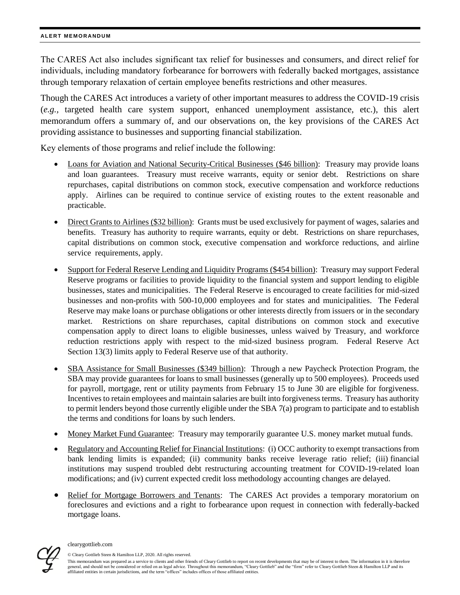The CARES Act also includes significant tax relief for businesses and consumers, and direct relief for individuals, including mandatory forbearance for borrowers with federally backed mortgages, assistance through temporary relaxation of certain employee benefits restrictions and other measures.

Though the CARES Act introduces a variety of other important measures to address the COVID-19 crisis (*e.g.,* targeted health care system support, enhanced unemployment assistance, etc.), this alert memorandum offers a summary of, and our observations on, the key provisions of the CARES Act providing assistance to businesses and supporting financial stabilization.

Key elements of those programs and relief include the following:

- Loans for Aviation and National Security-Critical Businesses (\$46 billion): Treasury may provide loans and loan guarantees. Treasury must receive warrants, equity or senior debt. Restrictions on share repurchases, capital distributions on common stock, executive compensation and workforce reductions apply. Airlines can be required to continue service of existing routes to the extent reasonable and practicable.
- Direct Grants to Airlines (\$32 billion): Grants must be used exclusively for payment of wages, salaries and benefits. Treasury has authority to require warrants, equity or debt. Restrictions on share repurchases, capital distributions on common stock, executive compensation and workforce reductions, and airline service requirements, apply.
- Support for Federal Reserve Lending and Liquidity Programs (\$454 billion): Treasury may support Federal Reserve programs or facilities to provide liquidity to the financial system and support lending to eligible businesses, states and municipalities. The Federal Reserve is encouraged to create facilities for mid-sized businesses and non-profits with 500-10,000 employees and for states and municipalities. The Federal Reserve may make loans or purchase obligations or other interests directly from issuers or in the secondary market. Restrictions on share repurchases, capital distributions on common stock and executive compensation apply to direct loans to eligible businesses, unless waived by Treasury, and workforce reduction restrictions apply with respect to the mid-sized business program. Federal Reserve Act Section 13(3) limits apply to Federal Reserve use of that authority.
- SBA Assistance for Small Businesses (\$349 billion): Through a new Paycheck Protection Program, the SBA may provide guarantees for loans to small businesses (generally up to 500 employees). Proceeds used for payroll, mortgage, rent or utility payments from February 15 to June 30 are eligible for forgiveness. Incentives to retain employees and maintain salaries are built into forgiveness terms. Treasury has authority to permit lenders beyond those currently eligible under the SBA 7(a) program to participate and to establish the terms and conditions for loans by such lenders.
- Money Market Fund Guarantee: Treasury may temporarily guarantee U.S. money market mutual funds.
- Regulatory and Accounting Relief for Financial Institutions: (i) OCC authority to exempt transactions from bank lending limits is expanded; (ii) community banks receive leverage ratio relief; (iii) financial institutions may suspend troubled debt restructuring accounting treatment for COVID-19-related loan modifications; and (iv) current expected credit loss methodology accounting changes are delayed.
- Relief for Mortgage Borrowers and Tenants: The CARES Act provides a temporary moratorium on foreclosures and evictions and a right to forbearance upon request in connection with federally-backed mortgage loans.



#### <span id="page-1-0"></span>clearygottlieb.com

© Cleary Gottlieb Steen & Hamilton LLP, 2020. All rights reserved. This memorandum was prepared as a service to clients and other friends of Cleary Gottlieb to report on recent developments that may be of interest to them. The information in it is therefore general, and should not be considered or relied on as legal advice. Throughout this memorandum, "Cleary Gottlieb" and the "firm" refer to Cleary Gottlieb Steen & Hamilton LLP and its affiliated entities in certain jurisdictions, and the term "offices" includes offices of those affiliated entities.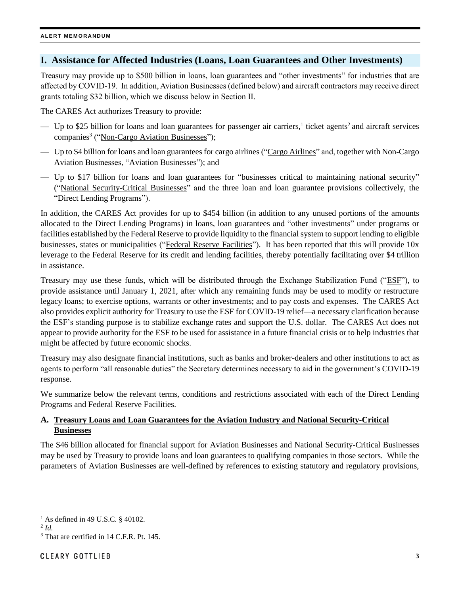### **I. Assistance for Affected Industries (Loans, Loan Guarantees and Other Investments)**

Treasury may provide up to \$500 billion in loans, loan guarantees and "other investments" for industries that are affected by COVID-19. In addition, Aviation Businesses (defined below) and aircraft contractors may receive direct grants totaling \$32 billion, which we discuss below in Section II.

The CARES Act authorizes Treasury to provide:

- $-$  Up to \$25 billion for loans and loan guarantees for passenger air carriers,<sup>1</sup> ticket agents<sup>2</sup> and aircraft services companies<sup>3</sup> ("Non-Cargo Aviation Businesses");
- Up to \$4 billion for loans and loan guarantees for cargo airlines ("Cargo Airlines" and, together with Non-Cargo Aviation Businesses, "Aviation Businesses"); and
- Up to \$17 billion for loans and loan guarantees for "businesses critical to maintaining national security" ("National Security-Critical Businesses" and the three loan and loan guarantee provisions collectively, the "Direct Lending Programs").

In addition, the CARES Act provides for up to \$454 billion (in addition to any unused portions of the amounts allocated to the Direct Lending Programs) in loans, loan guarantees and "other investments" under programs or facilities established by the Federal Reserve to provide liquidity to the financial system to support lending to eligible businesses, states or municipalities ("Federal Reserve Facilities"). It has been reported that this will provide 10x leverage to the Federal Reserve for its credit and lending facilities, thereby potentially facilitating over \$4 trillion in assistance.

Treasury may use these funds, which will be distributed through the Exchange Stabilization Fund ("ESF"), to provide assistance until January 1, 2021, after which any remaining funds may be used to modify or restructure legacy loans; to exercise options, warrants or other investments; and to pay costs and expenses. The CARES Act also provides explicit authority for Treasury to use the ESF for COVID-19 relief—a necessary clarification because the ESF's standing purpose is to stabilize exchange rates and support the U.S. dollar. The CARES Act does not appear to provide authority for the ESF to be used for assistance in a future financial crisis or to help industries that might be affected by future economic shocks.

Treasury may also designate financial institutions, such as banks and broker-dealers and other institutions to act as agents to perform "all reasonable duties" the Secretary determines necessary to aid in the government's COVID-19 response.

We summarize below the relevant terms, conditions and restrictions associated with each of the Direct Lending Programs and Federal Reserve Facilities.

# <span id="page-2-0"></span>**A. Treasury Loans and Loan Guarantees for the Aviation Industry and National Security-Critical Businesses**

The \$46 billion allocated for financial support for Aviation Businesses and National Security-Critical Businesses may be used by Treasury to provide loans and loan guarantees to qualifying companies in those sectors. While the parameters of Aviation Businesses are well-defined by references to existing statutory and regulatory provisions,

l  $1$  As defined in 49 U.S.C. § 40102.

<sup>2</sup> *Id.*

<sup>&</sup>lt;sup>3</sup> That are certified in 14 C.F.R. Pt. 145.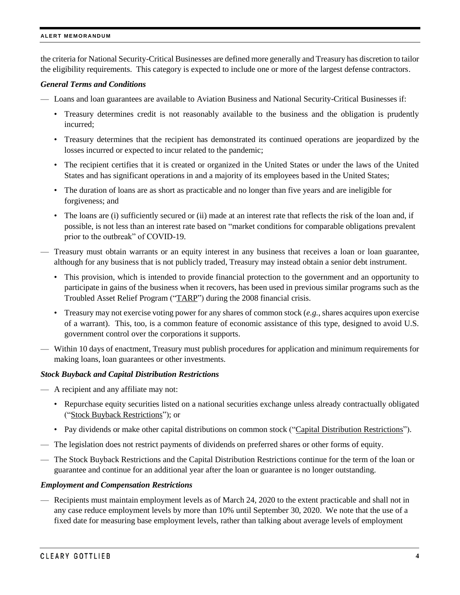the criteria for National Security-Critical Businesses are defined more generally and Treasury has discretion to tailor the eligibility requirements. This category is expected to include one or more of the largest defense contractors.

### *General Terms and Conditions*

- Loans and loan guarantees are available to Aviation Business and National Security-Critical Businesses if:
	- Treasury determines credit is not reasonably available to the business and the obligation is prudently incurred;
	- Treasury determines that the recipient has demonstrated its continued operations are jeopardized by the losses incurred or expected to incur related to the pandemic;
	- The recipient certifies that it is created or organized in the United States or under the laws of the United States and has significant operations in and a majority of its employees based in the United States;
	- The duration of loans are as short as practicable and no longer than five years and are ineligible for forgiveness; and
	- The loans are (i) sufficiently secured or (ii) made at an interest rate that reflects the risk of the loan and, if possible, is not less than an interest rate based on "market conditions for comparable obligations prevalent prior to the outbreak" of COVID-19.
- Treasury must obtain warrants or an equity interest in any business that receives a loan or loan guarantee, although for any business that is not publicly traded, Treasury may instead obtain a senior debt instrument.
	- This provision, which is intended to provide financial protection to the government and an opportunity to participate in gains of the business when it recovers, has been used in previous similar programs such as the Troubled Asset Relief Program ("TARP") during the 2008 financial crisis.
	- Treasury may not exercise voting power for any shares of common stock (*e.g.*, shares acquires upon exercise of a warrant). This, too, is a common feature of economic assistance of this type, designed to avoid U.S. government control over the corporations it supports.
- Within 10 days of enactment, Treasury must publish procedures for application and minimum requirements for making loans, loan guarantees or other investments.

### *Stock Buyback and Capital Distribution Restrictions*

- A recipient and any affiliate may not:
	- Repurchase equity securities listed on a national securities exchange unless already contractually obligated ("Stock Buyback Restrictions"); or
	- Pay dividends or make other capital distributions on common stock ("Capital Distribution Restrictions").
- The legislation does not restrict payments of dividends on preferred shares or other forms of equity.
- The Stock Buyback Restrictions and the Capital Distribution Restrictions continue for the term of the loan or guarantee and continue for an additional year after the loan or guarantee is no longer outstanding.

### *Employment and Compensation Restrictions*

— Recipients must maintain employment levels as of March 24, 2020 to the extent practicable and shall not in any case reduce employment levels by more than 10% until September 30, 2020. We note that the use of a fixed date for measuring base employment levels, rather than talking about average levels of employment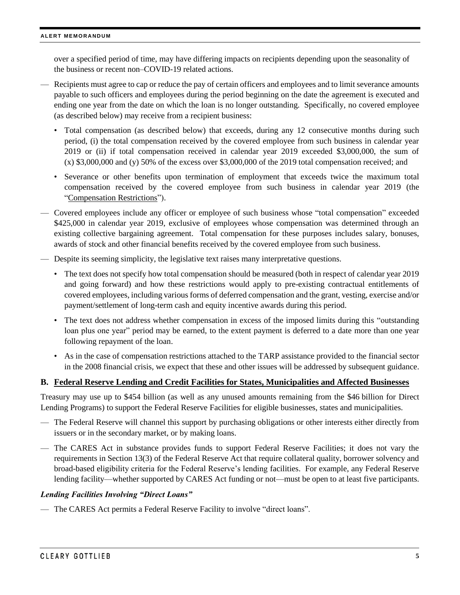over a specified period of time, may have differing impacts on recipients depending upon the seasonality of the business or recent non–COVID-19 related actions.

- Recipients must agree to cap or reduce the pay of certain officers and employees and to limit severance amounts payable to such officers and employees during the period beginning on the date the agreement is executed and ending one year from the date on which the loan is no longer outstanding. Specifically, no covered employee (as described below) may receive from a recipient business:
	- Total compensation (as described below) that exceeds, during any 12 consecutive months during such period, (i) the total compensation received by the covered employee from such business in calendar year 2019 or (ii) if total compensation received in calendar year 2019 exceeded \$3,000,000, the sum of  $(x)$  \$3,000,000 and  $(y)$  50% of the excess over \$3,000,000 of the 2019 total compensation received; and
	- Severance or other benefits upon termination of employment that exceeds twice the maximum total compensation received by the covered employee from such business in calendar year 2019 (the "Compensation Restrictions").
- Covered employees include any officer or employee of such business whose "total compensation" exceeded \$425,000 in calendar year 2019, exclusive of employees whose compensation was determined through an existing collective bargaining agreement. Total compensation for these purposes includes salary, bonuses, awards of stock and other financial benefits received by the covered employee from such business.
- Despite its seeming simplicity, the legislative text raises many interpretative questions.
	- The text does not specify how total compensation should be measured (both in respect of calendar year 2019 and going forward) and how these restrictions would apply to pre-existing contractual entitlements of covered employees, including various forms of deferred compensation and the grant, vesting, exercise and/or payment/settlement of long-term cash and equity incentive awards during this period.
	- The text does not address whether compensation in excess of the imposed limits during this "outstanding loan plus one year" period may be earned, to the extent payment is deferred to a date more than one year following repayment of the loan.
	- As in the case of compensation restrictions attached to the TARP assistance provided to the financial sector in the 2008 financial crisis, we expect that these and other issues will be addressed by subsequent guidance.

### <span id="page-4-0"></span>**B. Federal Reserve Lending and Credit Facilities for States, Municipalities and Affected Businesses**

Treasury may use up to \$454 billion (as well as any unused amounts remaining from the \$46 billion for Direct Lending Programs) to support the Federal Reserve Facilities for eligible businesses, states and municipalities.

- The Federal Reserve will channel this support by purchasing obligations or other interests either directly from issuers or in the secondary market, or by making loans.
- The CARES Act in substance provides funds to support Federal Reserve Facilities; it does not vary the requirements in Section 13(3) of the Federal Reserve Act that require collateral quality, borrower solvency and broad-based eligibility criteria for the Federal Reserve's lending facilities. For example, any Federal Reserve lending facility—whether supported by CARES Act funding or not—must be open to at least five participants.

### *Lending Facilities Involving "Direct Loans"*

— The CARES Act permits a Federal Reserve Facility to involve "direct loans".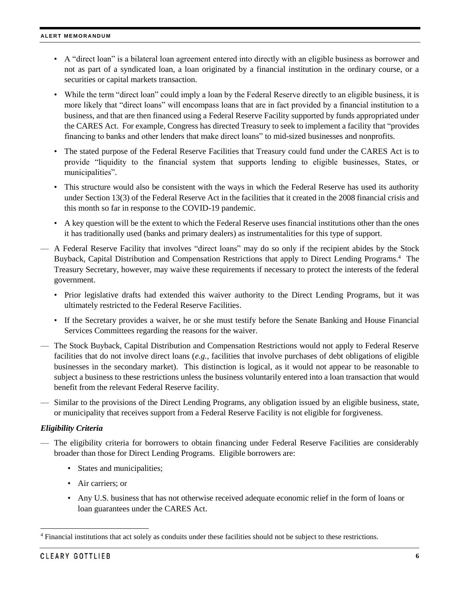- A "direct loan" is a bilateral loan agreement entered into directly with an eligible business as borrower and not as part of a syndicated loan, a loan originated by a financial institution in the ordinary course, or a securities or capital markets transaction.
- While the term "direct loan" could imply a loan by the Federal Reserve directly to an eligible business, it is more likely that "direct loans" will encompass loans that are in fact provided by a financial institution to a business, and that are then financed using a Federal Reserve Facility supported by funds appropriated under the CARES Act. For example, Congress has directed Treasury to seek to implement a facility that "provides financing to banks and other lenders that make direct loans" to mid-sized businesses and nonprofits.
- The stated purpose of the Federal Reserve Facilities that Treasury could fund under the CARES Act is to provide "liquidity to the financial system that supports lending to eligible businesses, States, or municipalities".
- This structure would also be consistent with the ways in which the Federal Reserve has used its authority under Section 13(3) of the Federal Reserve Act in the facilities that it created in the 2008 financial crisis and this month so far in response to the COVID-19 pandemic.
- A key question will be the extent to which the Federal Reserve uses financial institutions other than the ones it has traditionally used (banks and primary dealers) as instrumentalities for this type of support.
- A Federal Reserve Facility that involves "direct loans" may do so only if the recipient abides by the Stock Buyback, Capital Distribution and Compensation Restrictions that apply to Direct Lending Programs.<sup>4</sup> The Treasury Secretary, however, may waive these requirements if necessary to protect the interests of the federal government.
	- Prior legislative drafts had extended this waiver authority to the Direct Lending Programs, but it was ultimately restricted to the Federal Reserve Facilities.
	- If the Secretary provides a waiver, he or she must testify before the Senate Banking and House Financial Services Committees regarding the reasons for the waiver.
- The Stock Buyback, Capital Distribution and Compensation Restrictions would not apply to Federal Reserve facilities that do not involve direct loans (*e.g.*, facilities that involve purchases of debt obligations of eligible businesses in the secondary market). This distinction is logical, as it would not appear to be reasonable to subject a business to these restrictions unless the business voluntarily entered into a loan transaction that would benefit from the relevant Federal Reserve facility.
- Similar to the provisions of the Direct Lending Programs, any obligation issued by an eligible business, state, or municipality that receives support from a Federal Reserve Facility is not eligible for forgiveness.

### *Eligibility Criteria*

- The eligibility criteria for borrowers to obtain financing under Federal Reserve Facilities are considerably broader than those for Direct Lending Programs. Eligible borrowers are:
	- States and municipalities;
	- Air carriers; or
	- Any U.S. business that has not otherwise received adequate economic relief in the form of loans or loan guarantees under the CARES Act.

 $\overline{\phantom{a}}$ 

<sup>&</sup>lt;sup>4</sup> Financial institutions that act solely as conduits under these facilities should not be subject to these restrictions.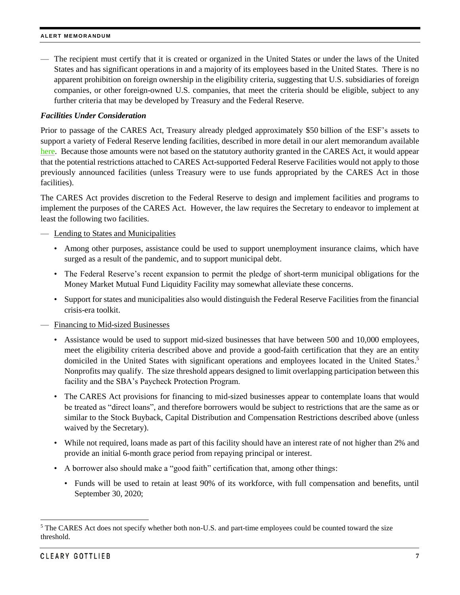— The recipient must certify that it is created or organized in the United States or under the laws of the United States and has significant operations in and a majority of its employees based in the United States. There is no apparent prohibition on foreign ownership in the eligibility criteria, suggesting that U.S. subsidiaries of foreign companies, or other foreign-owned U.S. companies, that meet the criteria should be eligible, subject to any further criteria that may be developed by Treasury and the Federal Reserve.

### *Facilities Under Consideration*

Prior to passage of the CARES Act, Treasury already pledged approximately \$50 billion of the ESF's assets to support a variety of Federal Reserve lending facilities, described in more detail in our alert memorandum available [here.](https://www.clearygottlieb.com/news-and-insights/publication-listing/covid-19-financial-institutions-updates) Because those amounts were not based on the statutory authority granted in the CARES Act, it would appear that the potential restrictions attached to CARES Act-supported Federal Reserve Facilities would not apply to those previously announced facilities (unless Treasury were to use funds appropriated by the CARES Act in those facilities).

The CARES Act provides discretion to the Federal Reserve to design and implement facilities and programs to implement the purposes of the CARES Act. However, the law requires the Secretary to endeavor to implement at least the following two facilities.

### — Lending to States and Municipalities

- Among other purposes, assistance could be used to support unemployment insurance claims, which have surged as a result of the pandemic, and to support municipal debt.
- The Federal Reserve's recent expansion to permit the pledge of short-term municipal obligations for the Money Market Mutual Fund Liquidity Facility may somewhat alleviate these concerns.
- Support for states and municipalities also would distinguish the Federal Reserve Facilities from the financial crisis-era toolkit.

### — Financing to Mid-sized Businesses

- Assistance would be used to support mid-sized businesses that have between 500 and 10,000 employees, meet the eligibility criteria described above and provide a good-faith certification that they are an entity domiciled in the United States with significant operations and employees located in the United States. 5 Nonprofits may qualify. The size threshold appears designed to limit overlapping participation between this facility and the SBA's Paycheck Protection Program.
- The CARES Act provisions for financing to mid-sized businesses appear to contemplate loans that would be treated as "direct loans", and therefore borrowers would be subject to restrictions that are the same as or similar to the Stock Buyback, Capital Distribution and Compensation Restrictions described above (unless waived by the Secretary).
- While not required, loans made as part of this facility should have an interest rate of not higher than 2% and provide an initial 6-month grace period from repaying principal or interest.
- A borrower also should make a "good faith" certification that, among other things:
	- Funds will be used to retain at least 90% of its workforce, with full compensation and benefits, until September 30, 2020;

l

<sup>&</sup>lt;sup>5</sup> The CARES Act does not specify whether both non-U.S. and part-time employees could be counted toward the size threshold.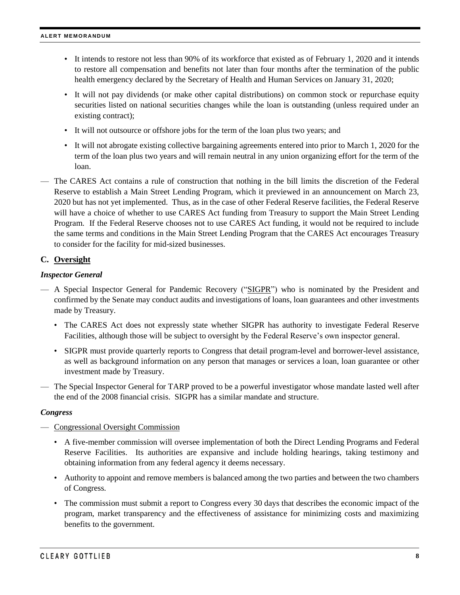- It intends to restore not less than 90% of its workforce that existed as of February 1, 2020 and it intends to restore all compensation and benefits not later than four months after the termination of the public health emergency declared by the Secretary of Health and Human Services on January 31, 2020;
- It will not pay dividends (or make other capital distributions) on common stock or repurchase equity securities listed on national securities changes while the loan is outstanding (unless required under an existing contract);
- It will not outsource or offshore jobs for the term of the loan plus two years; and
- It will not abrogate existing collective bargaining agreements entered into prior to March 1, 2020 for the term of the loan plus two years and will remain neutral in any union organizing effort for the term of the loan.
- The CARES Act contains a rule of construction that nothing in the bill limits the discretion of the Federal Reserve to establish a Main Street Lending Program, which it previewed in an announcement on March 23, 2020 but has not yet implemented. Thus, as in the case of other Federal Reserve facilities, the Federal Reserve will have a choice of whether to use CARES Act funding from Treasury to support the Main Street Lending Program. If the Federal Reserve chooses not to use CARES Act funding, it would not be required to include the same terms and conditions in the Main Street Lending Program that the CARES Act encourages Treasury to consider for the facility for mid-sized businesses.

### **C. Oversight**

### *Inspector General*

- A Special Inspector General for Pandemic Recovery ("SIGPR") who is nominated by the President and confirmed by the Senate may conduct audits and investigations of loans, loan guarantees and other investments made by Treasury.
	- The CARES Act does not expressly state whether SIGPR has authority to investigate Federal Reserve Facilities, although those will be subject to oversight by the Federal Reserve's own inspector general.
	- SIGPR must provide quarterly reports to Congress that detail program-level and borrower-level assistance, as well as background information on any person that manages or services a loan, loan guarantee or other investment made by Treasury.
- The Special Inspector General for TARP proved to be a powerful investigator whose mandate lasted well after the end of the 2008 financial crisis. SIGPR has a similar mandate and structure.

### *Congress*

- Congressional Oversight Commission
	- A five-member commission will oversee implementation of both the Direct Lending Programs and Federal Reserve Facilities. Its authorities are expansive and include holding hearings, taking testimony and obtaining information from any federal agency it deems necessary.
	- Authority to appoint and remove members is balanced among the two parties and between the two chambers of Congress.
	- The commission must submit a report to Congress every 30 days that describes the economic impact of the program, market transparency and the effectiveness of assistance for minimizing costs and maximizing benefits to the government.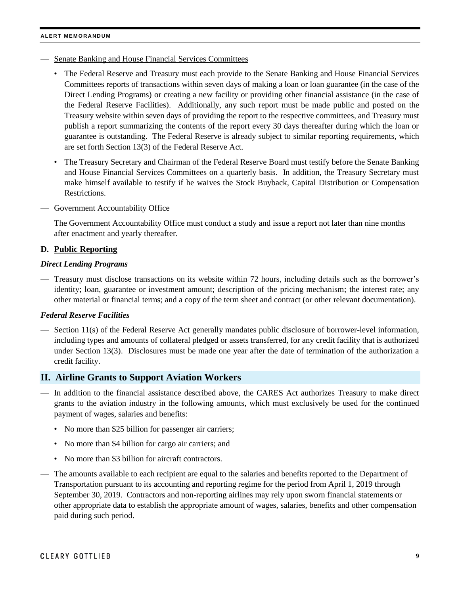- Senate Banking and House Financial Services Committees
	- The Federal Reserve and Treasury must each provide to the Senate Banking and House Financial Services Committees reports of transactions within seven days of making a loan or loan guarantee (in the case of the Direct Lending Programs) or creating a new facility or providing other financial assistance (in the case of the Federal Reserve Facilities). Additionally, any such report must be made public and posted on the Treasury website within seven days of providing the report to the respective committees, and Treasury must publish a report summarizing the contents of the report every 30 days thereafter during which the loan or guarantee is outstanding. The Federal Reserve is already subject to similar reporting requirements, which are set forth Section 13(3) of the Federal Reserve Act.
	- The Treasury Secretary and Chairman of the Federal Reserve Board must testify before the Senate Banking and House Financial Services Committees on a quarterly basis. In addition, the Treasury Secretary must make himself available to testify if he waives the Stock Buyback, Capital Distribution or Compensation Restrictions.
- Government Accountability Office

The Government Accountability Office must conduct a study and issue a report not later than nine months after enactment and yearly thereafter.

### **D. Public Reporting**

### *Direct Lending Programs*

— Treasury must disclose transactions on its website within 72 hours, including details such as the borrower's identity; loan, guarantee or investment amount; description of the pricing mechanism; the interest rate; any other material or financial terms; and a copy of the term sheet and contract (or other relevant documentation).

### *Federal Reserve Facilities*

— Section 11(s) of the Federal Reserve Act generally mandates public disclosure of borrower-level information, including types and amounts of collateral pledged or assets transferred, for any credit facility that is authorized under Section 13(3). Disclosures must be made one year after the date of termination of the authorization a credit facility.

### <span id="page-8-0"></span>**II. Airline Grants to Support Aviation Workers**

- In addition to the financial assistance described above, the CARES Act authorizes Treasury to make direct grants to the aviation industry in the following amounts, which must exclusively be used for the continued payment of wages, salaries and benefits:
	- No more than \$25 billion for passenger air carriers;
	- No more than \$4 billion for cargo air carriers; and
	- No more than \$3 billion for aircraft contractors.
- The amounts available to each recipient are equal to the salaries and benefits reported to the Department of Transportation pursuant to its accounting and reporting regime for the period from April 1, 2019 through September 30, 2019. Contractors and non-reporting airlines may rely upon sworn financial statements or other appropriate data to establish the appropriate amount of wages, salaries, benefits and other compensation paid during such period.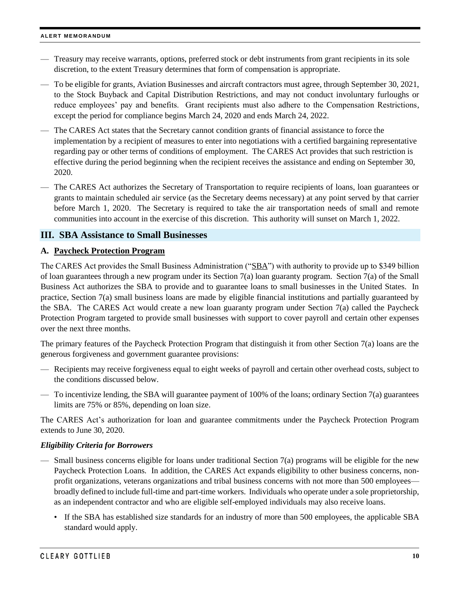- Treasury may receive warrants, options, preferred stock or debt instruments from grant recipients in its sole discretion, to the extent Treasury determines that form of compensation is appropriate.
- To be eligible for grants, Aviation Businesses and aircraft contractors must agree, through September 30, 2021, to the Stock Buyback and Capital Distribution Restrictions, and may not conduct involuntary furloughs or reduce employees' pay and benefits. Grant recipients must also adhere to the Compensation Restrictions, except the period for compliance begins March 24, 2020 and ends March 24, 2022.
- The CARES Act states that the Secretary cannot condition grants of financial assistance to force the implementation by a recipient of measures to enter into negotiations with a certified bargaining representative regarding pay or other terms of conditions of employment. The CARES Act provides that such restriction is effective during the period beginning when the recipient receives the assistance and ending on September 30, 2020.
- The CARES Act authorizes the Secretary of Transportation to require recipients of loans, loan guarantees or grants to maintain scheduled air service (as the Secretary deems necessary) at any point served by that carrier before March 1, 2020. The Secretary is required to take the air transportation needs of small and remote communities into account in the exercise of this discretion. This authority will sunset on March 1, 2022.

# <span id="page-9-0"></span>**III. SBA Assistance to Small Businesses**

# **A. Paycheck Protection Program**

The CARES Act provides the Small Business Administration ("SBA") with authority to provide up to \$349 billion of loan guarantees through a new program under its Section  $7(a)$  loan guaranty program. Section  $7(a)$  of the Small Business Act authorizes the SBA to provide and to guarantee loans to small businesses in the United States. In practice, Section 7(a) small business loans are made by eligible financial institutions and partially guaranteed by the SBA. The CARES Act would create a new loan guaranty program under Section 7(a) called the Paycheck Protection Program targeted to provide small businesses with support to cover payroll and certain other expenses over the next three months.

The primary features of the Paycheck Protection Program that distinguish it from other Section 7(a) loans are the generous forgiveness and government guarantee provisions:

- Recipients may receive forgiveness equal to eight weeks of payroll and certain other overhead costs, subject to the conditions discussed below.
- To incentivize lending, the SBA will guarantee payment of 100% of the loans; ordinary Section 7(a) guarantees limits are 75% or 85%, depending on loan size.

The CARES Act's authorization for loan and guarantee commitments under the Paycheck Protection Program extends to June 30, 2020.

### *Eligibility Criteria for Borrowers*

- Small business concerns eligible for loans under traditional Section  $7(a)$  programs will be eligible for the new Paycheck Protection Loans. In addition, the CARES Act expands eligibility to other business concerns, nonprofit organizations, veterans organizations and tribal business concerns with not more than 500 employees broadly defined to include full-time and part-time workers. Individuals who operate under a sole proprietorship, as an independent contractor and who are eligible self-employed individuals may also receive loans.
	- If the SBA has established size standards for an industry of more than 500 employees, the applicable SBA standard would apply.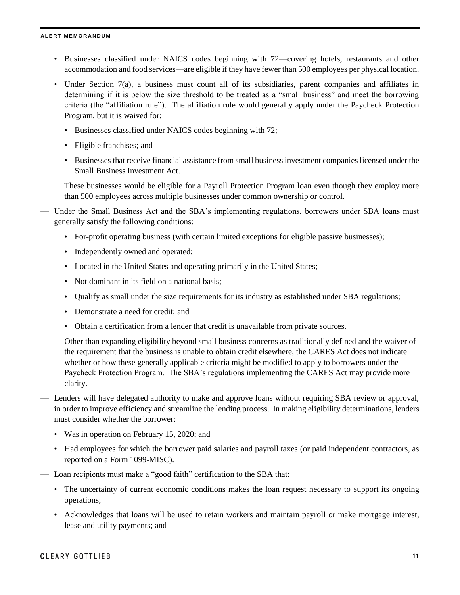- Businesses classified under NAICS codes beginning with 72—covering hotels, restaurants and other accommodation and food services—are eligible if they have fewer than 500 employees per physical location.
- Under Section 7(a), a business must count all of its subsidiaries, parent companies and affiliates in determining if it is below the size threshold to be treated as a "small business" and meet the borrowing criteria (the "affiliation rule"). The affiliation rule would generally apply under the Paycheck Protection Program, but it is waived for:
	- Businesses classified under NAICS codes beginning with 72;
	- Eligible franchises; and
	- Businesses that receive financial assistance from small business investment companies licensed under the Small Business Investment Act.

These businesses would be eligible for a Payroll Protection Program loan even though they employ more than 500 employees across multiple businesses under common ownership or control.

— Under the Small Business Act and the SBA's implementing regulations, borrowers under SBA loans must generally satisfy the following conditions:

- For-profit operating business (with certain limited exceptions for eligible passive businesses);
- Independently owned and operated;
- Located in the United States and operating primarily in the United States;
- Not dominant in its field on a national basis;
- Qualify as small under the size requirements for its industry as established under SBA regulations;
- Demonstrate a need for credit; and
- Obtain a certification from a lender that credit is unavailable from private sources.

Other than expanding eligibility beyond small business concerns as traditionally defined and the waiver of the requirement that the business is unable to obtain credit elsewhere, the CARES Act does not indicate whether or how these generally applicable criteria might be modified to apply to borrowers under the Paycheck Protection Program. The SBA's regulations implementing the CARES Act may provide more clarity.

- Lenders will have delegated authority to make and approve loans without requiring SBA review or approval, in order to improve efficiency and streamline the lending process. In making eligibility determinations, lenders must consider whether the borrower:
	- Was in operation on February 15, 2020; and
	- Had employees for which the borrower paid salaries and payroll taxes (or paid independent contractors, as reported on a Form 1099-MISC).
- Loan recipients must make a "good faith" certification to the SBA that:
	- The uncertainty of current economic conditions makes the loan request necessary to support its ongoing operations;
	- Acknowledges that loans will be used to retain workers and maintain payroll or make mortgage interest, lease and utility payments; and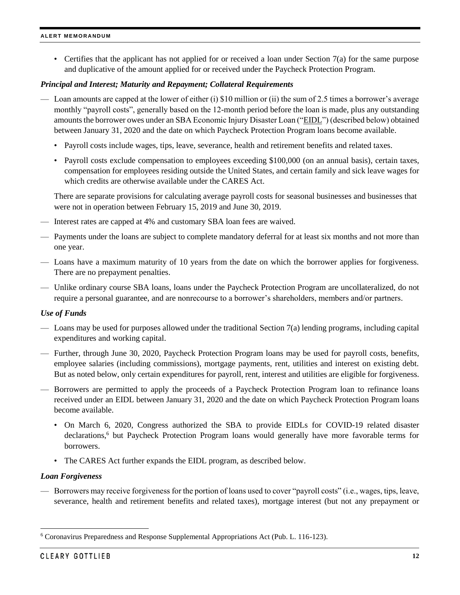• Certifies that the applicant has not applied for or received a loan under Section  $7(a)$  for the same purpose and duplicative of the amount applied for or received under the Paycheck Protection Program.

### *Principal and Interest; Maturity and Repayment; Collateral Requirements*

- Loan amounts are capped at the lower of either (i) \$10 million or (ii) the sum of 2.5 times a borrower's average monthly "payroll costs", generally based on the 12-month period before the loan is made, plus any outstanding amounts the borrower owes under an SBA Economic Injury Disaster Loan ("EIDL") (described below) obtained between January 31, 2020 and the date on which Paycheck Protection Program loans become available.
	- Payroll costs include wages, tips, leave, severance, health and retirement benefits and related taxes.
	- Payroll costs exclude compensation to employees exceeding \$100,000 (on an annual basis), certain taxes, compensation for employees residing outside the United States, and certain family and sick leave wages for which credits are otherwise available under the CARES Act.

There are separate provisions for calculating average payroll costs for seasonal businesses and businesses that were not in operation between February 15, 2019 and June 30, 2019.

- Interest rates are capped at 4% and customary SBA loan fees are waived.
- Payments under the loans are subject to complete mandatory deferral for at least six months and not more than one year.
- Loans have a maximum maturity of 10 years from the date on which the borrower applies for forgiveness. There are no prepayment penalties.
- Unlike ordinary course SBA loans, loans under the Paycheck Protection Program are uncollateralized, do not require a personal guarantee, and are nonrecourse to a borrower's shareholders, members and/or partners.

### *Use of Funds*

- Loans may be used for purposes allowed under the traditional Section 7(a) lending programs, including capital expenditures and working capital.
- Further, through June 30, 2020, Paycheck Protection Program loans may be used for payroll costs, benefits, employee salaries (including commissions), mortgage payments, rent, utilities and interest on existing debt. But as noted below, only certain expenditures for payroll, rent, interest and utilities are eligible for forgiveness.
- Borrowers are permitted to apply the proceeds of a Paycheck Protection Program loan to refinance loans received under an EIDL between January 31, 2020 and the date on which Paycheck Protection Program loans become available.
	- On March 6, 2020, Congress authorized the SBA to provide EIDLs for COVID-19 related disaster declarations, <sup>6</sup> but Paycheck Protection Program loans would generally have more favorable terms for borrowers.
	- The CARES Act further expands the EIDL program, as described below.

### *Loan Forgiveness*

— Borrowers may receive forgiveness for the portion of loans used to cover "payroll costs" (i.e., wages, tips, leave, severance, health and retirement benefits and related taxes), mortgage interest (but not any prepayment or

 $\overline{\phantom{a}}$ 

<sup>6</sup> Coronavirus Preparedness and Response Supplemental Appropriations Act (Pub. L. 116-123).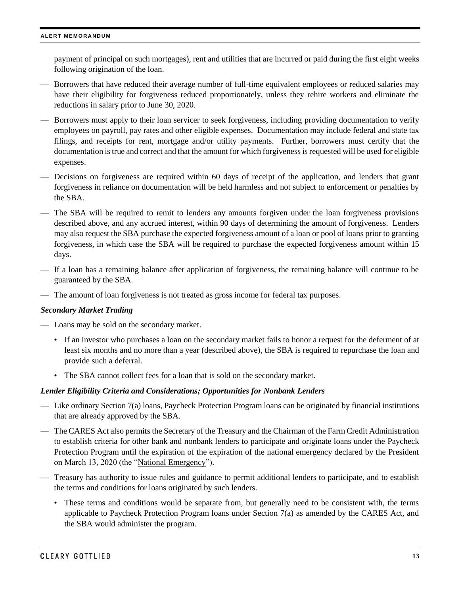payment of principal on such mortgages), rent and utilities that are incurred or paid during the first eight weeks following origination of the loan.

- Borrowers that have reduced their average number of full-time equivalent employees or reduced salaries may have their eligibility for forgiveness reduced proportionately, unless they rehire workers and eliminate the reductions in salary prior to June 30, 2020.
- Borrowers must apply to their loan servicer to seek forgiveness, including providing documentation to verify employees on payroll, pay rates and other eligible expenses. Documentation may include federal and state tax filings, and receipts for rent, mortgage and/or utility payments. Further, borrowers must certify that the documentation is true and correct and that the amount for which forgiveness is requested will be used for eligible expenses.
- Decisions on forgiveness are required within 60 days of receipt of the application, and lenders that grant forgiveness in reliance on documentation will be held harmless and not subject to enforcement or penalties by the SBA.
- The SBA will be required to remit to lenders any amounts forgiven under the loan forgiveness provisions described above, and any accrued interest, within 90 days of determining the amount of forgiveness. Lenders may also request the SBA purchase the expected forgiveness amount of a loan or pool of loans prior to granting forgiveness, in which case the SBA will be required to purchase the expected forgiveness amount within 15 days.
- If a loan has a remaining balance after application of forgiveness, the remaining balance will continue to be guaranteed by the SBA.
- The amount of loan forgiveness is not treated as gross income for federal tax purposes.

### *Secondary Market Trading*

- Loans may be sold on the secondary market.
	- If an investor who purchases a loan on the secondary market fails to honor a request for the deferment of at least six months and no more than a year (described above), the SBA is required to repurchase the loan and provide such a deferral.
	- The SBA cannot collect fees for a loan that is sold on the secondary market.

### *Lender Eligibility Criteria and Considerations; Opportunities for Nonbank Lenders*

- Like ordinary Section 7(a) loans, Paycheck Protection Program loans can be originated by financial institutions that are already approved by the SBA.
- The CARES Act also permits the Secretary of the Treasury and the Chairman of the Farm Credit Administration to establish criteria for other bank and nonbank lenders to participate and originate loans under the Paycheck Protection Program until the expiration of the expiration of the national emergency declared by the President on March 13, 2020 (the "National Emergency").
- Treasury has authority to issue rules and guidance to permit additional lenders to participate, and to establish the terms and conditions for loans originated by such lenders.
	- These terms and conditions would be separate from, but generally need to be consistent with, the terms applicable to Paycheck Protection Program loans under Section 7(a) as amended by the CARES Act, and the SBA would administer the program.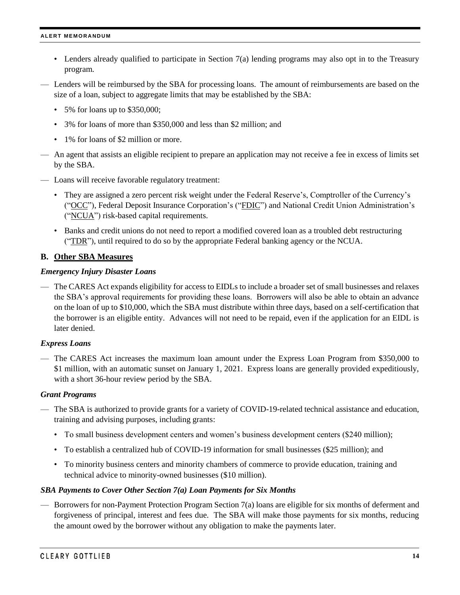- Lenders already qualified to participate in Section 7(a) lending programs may also opt in to the Treasury program.
- Lenders will be reimbursed by the SBA for processing loans. The amount of reimbursements are based on the size of a loan, subject to aggregate limits that may be established by the SBA:
	- 5% for loans up to \$350,000;
	- 3% for loans of more than \$350,000 and less than \$2 million; and
	- 1% for loans of \$2 million or more.
- An agent that assists an eligible recipient to prepare an application may not receive a fee in excess of limits set by the SBA.
- Loans will receive favorable regulatory treatment:
	- They are assigned a zero percent risk weight under the Federal Reserve's, Comptroller of the Currency's ("OCC"), Federal Deposit Insurance Corporation's ("FDIC") and National Credit Union Administration's ("NCUA") risk-based capital requirements.
	- Banks and credit unions do not need to report a modified covered loan as a troubled debt restructuring ("TDR"), until required to do so by the appropriate Federal banking agency or the NCUA.

### **B. Other SBA Measures**

### *Emergency Injury Disaster Loans*

— The CARES Act expands eligibility for access to EIDLs to include a broader set of small businesses and relaxes the SBA's approval requirements for providing these loans. Borrowers will also be able to obtain an advance on the loan of up to \$10,000, which the SBA must distribute within three days, based on a self-certification that the borrower is an eligible entity. Advances will not need to be repaid, even if the application for an EIDL is later denied.

### *Express Loans*

— The CARES Act increases the maximum loan amount under the Express Loan Program from \$350,000 to \$1 million, with an automatic sunset on January 1, 2021. Express loans are generally provided expeditiously, with a short 36-hour review period by the SBA.

### *Grant Programs*

- The SBA is authorized to provide grants for a variety of COVID-19-related technical assistance and education, training and advising purposes, including grants:
	- To small business development centers and women's business development centers (\$240 million);
	- To establish a centralized hub of COVID-19 information for small businesses (\$25 million); and
	- To minority business centers and minority chambers of commerce to provide education, training and technical advice to minority-owned businesses (\$10 million).

### *SBA Payments to Cover Other Section 7(a) Loan Payments for Six Months*

— Borrowers for non-Payment Protection Program Section 7(a) loans are eligible for six months of deferment and forgiveness of principal, interest and fees due. The SBA will make those payments for six months, reducing the amount owed by the borrower without any obligation to make the payments later.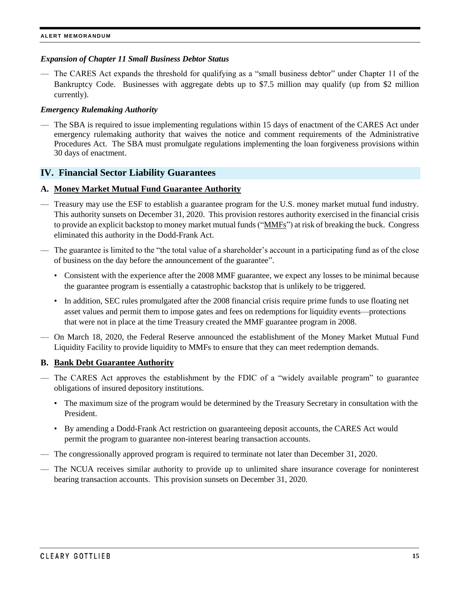### *Expansion of Chapter 11 Small Business Debtor Status*

— The CARES Act expands the threshold for qualifying as a "small business debtor" under Chapter 11 of the Bankruptcy Code. Businesses with aggregate debts up to \$7.5 million may qualify (up from \$2 million currently).

### *Emergency Rulemaking Authority*

— The SBA is required to issue implementing regulations within 15 days of enactment of the CARES Act under emergency rulemaking authority that waives the notice and comment requirements of the Administrative Procedures Act. The SBA must promulgate regulations implementing the loan forgiveness provisions within 30 days of enactment.

### <span id="page-14-0"></span>**IV. Financial Sector Liability Guarantees**

### **A. Money Market Mutual Fund Guarantee Authority**

- Treasury may use the ESF to establish a guarantee program for the U.S. money market mutual fund industry. This authority sunsets on December 31, 2020. This provision restores authority exercised in the financial crisis to provide an explicit backstop to money market mutual funds ("MMFs") at risk of breaking the buck. Congress eliminated this authority in the Dodd-Frank Act.
- The guarantee is limited to the "the total value of a shareholder's account in a participating fund as of the close of business on the day before the announcement of the guarantee".
	- Consistent with the experience after the 2008 MMF guarantee, we expect any losses to be minimal because the guarantee program is essentially a catastrophic backstop that is unlikely to be triggered.
	- In addition, SEC rules promulgated after the 2008 financial crisis require prime funds to use floating net asset values and permit them to impose gates and fees on redemptions for liquidity events—protections that were not in place at the time Treasury created the MMF guarantee program in 2008.
- On March 18, 2020, the Federal Reserve announced the establishment of the Money Market Mutual Fund Liquidity Facility to provide liquidity to MMFs to ensure that they can meet redemption demands.

#### **B. Bank Debt Guarantee Authority**

- The CARES Act approves the establishment by the FDIC of a "widely available program" to guarantee obligations of insured depository institutions.
	- The maximum size of the program would be determined by the Treasury Secretary in consultation with the President.
	- By amending a Dodd-Frank Act restriction on guaranteeing deposit accounts, the CARES Act would permit the program to guarantee non-interest bearing transaction accounts.
- The congressionally approved program is required to terminate not later than December 31, 2020.
- The NCUA receives similar authority to provide up to unlimited share insurance coverage for noninterest bearing transaction accounts. This provision sunsets on December 31, 2020.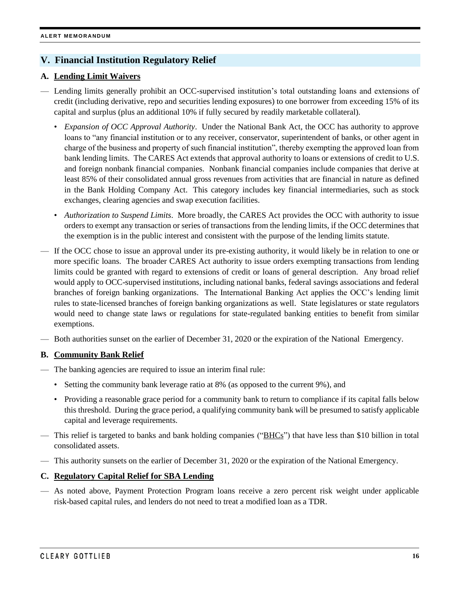# <span id="page-15-0"></span>**V. Financial Institution Regulatory Relief**

# **A. Lending Limit Waivers**

- Lending limits generally prohibit an OCC-supervised institution's total outstanding loans and extensions of credit (including derivative, repo and securities lending exposures) to one borrower from exceeding 15% of its capital and surplus (plus an additional 10% if fully secured by readily marketable collateral).
	- *Expansion of OCC Approval Authority*. Under the National Bank Act, the OCC has authority to approve loans to "any financial institution or to any receiver, conservator, superintendent of banks, or other agent in charge of the business and property of such financial institution", thereby exempting the approved loan from bank lending limits. The CARES Act extends that approval authority to loans or extensions of credit to U.S. and foreign nonbank financial companies. Nonbank financial companies include companies that derive at least 85% of their consolidated annual gross revenues from activities that are financial in nature as defined in the Bank Holding Company Act. This category includes key financial intermediaries, such as stock exchanges, clearing agencies and swap execution facilities.
	- *Authorization to Suspend Limits*. More broadly, the CARES Act provides the OCC with authority to issue orders to exempt any transaction or series of transactions from the lending limits, if the OCC determines that the exemption is in the public interest and consistent with the purpose of the lending limits statute.
- If the OCC chose to issue an approval under its pre-existing authority, it would likely be in relation to one or more specific loans. The broader CARES Act authority to issue orders exempting transactions from lending limits could be granted with regard to extensions of credit or loans of general description. Any broad relief would apply to OCC-supervised institutions, including national banks, federal savings associations and federal branches of foreign banking organizations. The International Banking Act applies the OCC's lending limit rules to state-licensed branches of foreign banking organizations as well. State legislatures or state regulators would need to change state laws or regulations for state-regulated banking entities to benefit from similar exemptions.
- Both authorities sunset on the earlier of December 31, 2020 or the expiration of the National Emergency.

### **B. Community Bank Relief**

- The banking agencies are required to issue an interim final rule:
	- Setting the community bank leverage ratio at 8% (as opposed to the current 9%), and
	- Providing a reasonable grace period for a community bank to return to compliance if its capital falls below this threshold. During the grace period, a qualifying community bank will be presumed to satisfy applicable capital and leverage requirements.
- This relief is targeted to banks and bank holding companies ("BHCs") that have less than \$10 billion in total consolidated assets.
- This authority sunsets on the earlier of December 31, 2020 or the expiration of the National Emergency.

### **C. Regulatory Capital Relief for SBA Lending**

— As noted above, Payment Protection Program loans receive a zero percent risk weight under applicable risk-based capital rules, and lenders do not need to treat a modified loan as a TDR.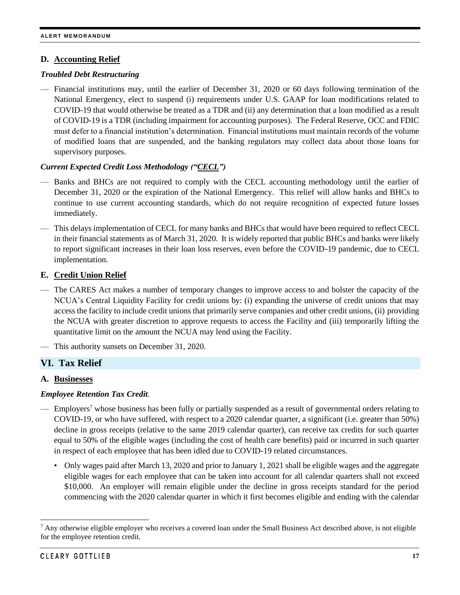### **D. Accounting Relief**

### *Troubled Debt Restructuring*

— Financial institutions may, until the earlier of December 31, 2020 or 60 days following termination of the National Emergency, elect to suspend (i) requirements under U.S. GAAP for loan modifications related to COVID-19 that would otherwise be treated as a TDR and (ii) any determination that a loan modified as a result of COVID-19 is a TDR (including impairment for accounting purposes). The Federal Reserve, OCC and FDIC must defer to a financial institution's determination. Financial institutions must maintain records of the volume of modified loans that are suspended, and the banking regulators may collect data about those loans for supervisory purposes.

### *Current Expected Credit Loss Methodology ("CECL")*

- Banks and BHCs are not required to comply with the CECL accounting methodology until the earlier of December 31, 2020 or the expiration of the National Emergency. This relief will allow banks and BHCs to continue to use current accounting standards, which do not require recognition of expected future losses immediately.
- This delays implementation of CECL for many banks and BHCs that would have been required to reflect CECL in their financial statements as of March 31, 2020. It is widely reported that public BHCs and banks were likely to report significant increases in their loan loss reserves, even before the COVID-19 pandemic, due to CECL implementation.

# **E. Credit Union Relief**

- The CARES Act makes a number of temporary changes to improve access to and bolster the capacity of the NCUA's Central Liquidity Facility for credit unions by: (i) expanding the universe of credit unions that may access the facility to include credit unions that primarily serve companies and other credit unions, (ii) providing the NCUA with greater discretion to approve requests to access the Facility and (iii) temporarily lifting the quantitative limit on the amount the NCUA may lend using the Facility.
- This authority sunsets on December 31, 2020.

# <span id="page-16-0"></span>**VI. Tax Relief**

### **A. Businesses**

### *Employee Retention Tax Credit.*

- Employers<sup>7</sup> whose business has been fully or partially suspended as a result of governmental orders relating to COVID-19, or who have suffered, with respect to a 2020 calendar quarter, a significant (i.e. greater than 50%) decline in gross receipts (relative to the same 2019 calendar quarter), can receive tax credits for such quarter equal to 50% of the eligible wages (including the cost of health care benefits) paid or incurred in such quarter in respect of each employee that has been idled due to COVID-19 related circumstances.
	- Only wages paid after March 13, 2020 and prior to January 1, 2021 shall be eligible wages and the aggregate eligible wages for each employee that can be taken into account for all calendar quarters shall not exceed \$10,000. An employer will remain eligible under the decline in gross receipts standard for the period commencing with the 2020 calendar quarter in which it first becomes eligible and ending with the calendar

l

 $<sup>7</sup>$  Any otherwise eligible employer who receives a covered loan under the Small Business Act described above, is not eligible</sup> for the employee retention credit.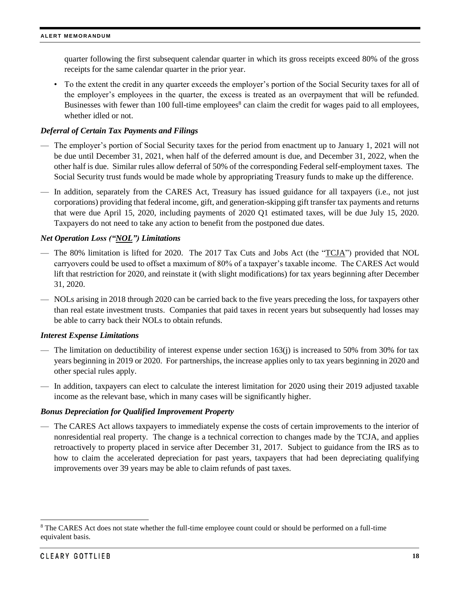quarter following the first subsequent calendar quarter in which its gross receipts exceed 80% of the gross receipts for the same calendar quarter in the prior year.

• To the extent the credit in any quarter exceeds the employer's portion of the Social Security taxes for all of the employer's employees in the quarter, the excess is treated as an overpayment that will be refunded. Businesses with fewer than 100 full-time employees<sup>8</sup> can claim the credit for wages paid to all employees, whether idled or not.

### *Deferral of Certain Tax Payments and Filings*

- The employer's portion of Social Security taxes for the period from enactment up to January 1, 2021 will not be due until December 31, 2021, when half of the deferred amount is due, and December 31, 2022, when the other half is due. Similar rules allow deferral of 50% of the corresponding Federal self-employment taxes. The Social Security trust funds would be made whole by appropriating Treasury funds to make up the difference.
- In addition, separately from the CARES Act, Treasury has issued guidance for all taxpayers (i.e., not just corporations) providing that federal income, gift, and generation-skipping gift transfer tax payments and returns that were due April 15, 2020, including payments of 2020 Q1 estimated taxes, will be due July 15, 2020. Taxpayers do not need to take any action to benefit from the postponed due dates.

### *Net Operation Loss ("NOL") Limitations*

- The 80% limitation is lifted for 2020. The 2017 Tax Cuts and Jobs Act (the "TCJA") provided that NOL carryovers could be used to offset a maximum of 80% of a taxpayer's taxable income. The CARES Act would lift that restriction for 2020, and reinstate it (with slight modifications) for tax years beginning after December 31, 2020.
- NOLs arising in 2018 through 2020 can be carried back to the five years preceding the loss, for taxpayers other than real estate investment trusts. Companies that paid taxes in recent years but subsequently had losses may be able to carry back their NOLs to obtain refunds.

### *Interest Expense Limitations*

- The limitation on deductibility of interest expense under section  $163(i)$  is increased to 50% from 30% for tax years beginning in 2019 or 2020. For partnerships, the increase applies only to tax years beginning in 2020 and other special rules apply.
- In addition, taxpayers can elect to calculate the interest limitation for 2020 using their 2019 adjusted taxable income as the relevant base, which in many cases will be significantly higher.

### *Bonus Depreciation for Qualified Improvement Property*

— The CARES Act allows taxpayers to immediately expense the costs of certain improvements to the interior of nonresidential real property. The change is a technical correction to changes made by the TCJA, and applies retroactively to property placed in service after December 31, 2017. Subject to guidance from the IRS as to how to claim the accelerated depreciation for past years, taxpayers that had been depreciating qualifying improvements over 39 years may be able to claim refunds of past taxes.

l

<sup>&</sup>lt;sup>8</sup> The CARES Act does not state whether the full-time employee count could or should be performed on a full-time equivalent basis.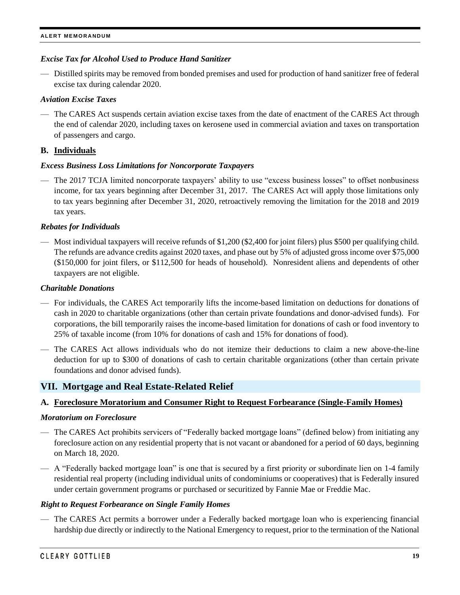### *Excise Tax for Alcohol Used to Produce Hand Sanitizer*

— Distilled spirits may be removed from bonded premises and used for production of hand sanitizer free of federal excise tax during calendar 2020.

### *Aviation Excise Taxes*

— The CARES Act suspends certain aviation excise taxes from the date of enactment of the CARES Act through the end of calendar 2020, including taxes on kerosene used in commercial aviation and taxes on transportation of passengers and cargo.

### **B. Individuals**

### *Excess Business Loss Limitations for Noncorporate Taxpayers*

— The 2017 TCJA limited noncorporate taxpayers' ability to use "excess business losses" to offset nonbusiness income, for tax years beginning after December 31, 2017. The CARES Act will apply those limitations only to tax years beginning after December 31, 2020, retroactively removing the limitation for the 2018 and 2019 tax years.

### *Rebates for Individuals*

— Most individual taxpayers will receive refunds of \$1,200 (\$2,400 for joint filers) plus \$500 per qualifying child. The refunds are advance credits against 2020 taxes, and phase out by 5% of adjusted gross income over \$75,000 (\$150,000 for joint filers, or \$112,500 for heads of household). Nonresident aliens and dependents of other taxpayers are not eligible.

### *Charitable Donations*

- For individuals, the CARES Act temporarily lifts the income-based limitation on deductions for donations of cash in 2020 to charitable organizations (other than certain private foundations and donor-advised funds). For corporations, the bill temporarily raises the income-based limitation for donations of cash or food inventory to 25% of taxable income (from 10% for donations of cash and 15% for donations of food).
- The CARES Act allows individuals who do not itemize their deductions to claim a new above-the-line deduction for up to \$300 of donations of cash to certain charitable organizations (other than certain private foundations and donor advised funds).

### <span id="page-18-0"></span>**VII. Mortgage and Real Estate-Related Relief**

### **A. Foreclosure Moratorium and Consumer Right to Request Forbearance (Single-Family Homes)**

#### *Moratorium on Foreclosure*

- The CARES Act prohibits servicers of "Federally backed mortgage loans" (defined below) from initiating any foreclosure action on any residential property that is not vacant or abandoned for a period of 60 days, beginning on March 18, 2020.
- A "Federally backed mortgage loan" is one that is secured by a first priority or subordinate lien on 1-4 family residential real property (including individual units of condominiums or cooperatives) that is Federally insured under certain government programs or purchased or securitized by Fannie Mae or Freddie Mac.

### *Right to Request Forbearance on Single Family Homes*

— The CARES Act permits a borrower under a Federally backed mortgage loan who is experiencing financial hardship due directly or indirectly to the National Emergency to request, prior to the termination of the National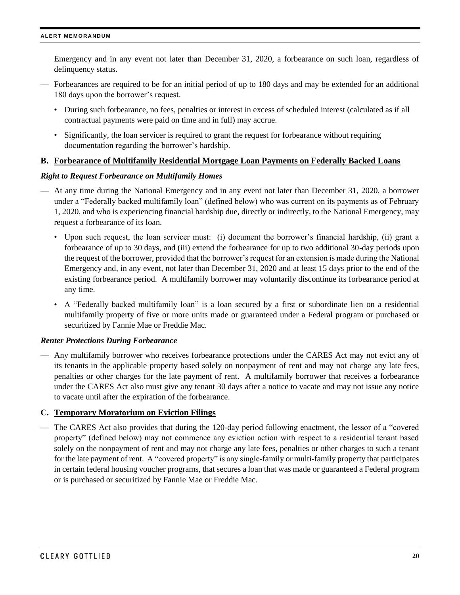Emergency and in any event not later than December 31, 2020, a forbearance on such loan, regardless of delinquency status.

- Forbearances are required to be for an initial period of up to 180 days and may be extended for an additional 180 days upon the borrower's request.
	- During such forbearance, no fees, penalties or interest in excess of scheduled interest (calculated as if all contractual payments were paid on time and in full) may accrue.
	- Significantly, the loan servicer is required to grant the request for forbearance without requiring documentation regarding the borrower's hardship.

### **B. Forbearance of Multifamily Residential Mortgage Loan Payments on Federally Backed Loans**

### *Right to Request Forbearance on Multifamily Homes*

- At any time during the National Emergency and in any event not later than December 31, 2020, a borrower under a "Federally backed multifamily loan" (defined below) who was current on its payments as of February 1, 2020, and who is experiencing financial hardship due, directly or indirectly, to the National Emergency, may request a forbearance of its loan.
	- Upon such request, the loan servicer must: (i) document the borrower's financial hardship, (ii) grant a forbearance of up to 30 days, and (iii) extend the forbearance for up to two additional 30-day periods upon the request of the borrower, provided that the borrower's request for an extension is made during the National Emergency and, in any event, not later than December 31, 2020 and at least 15 days prior to the end of the existing forbearance period. A multifamily borrower may voluntarily discontinue its forbearance period at any time.
	- A "Federally backed multifamily loan" is a loan secured by a first or subordinate lien on a residential multifamily property of five or more units made or guaranteed under a Federal program or purchased or securitized by Fannie Mae or Freddie Mac.

### *Renter Protections During Forbearance*

— Any multifamily borrower who receives forbearance protections under the CARES Act may not evict any of its tenants in the applicable property based solely on nonpayment of rent and may not charge any late fees, penalties or other charges for the late payment of rent. A multifamily borrower that receives a forbearance under the CARES Act also must give any tenant 30 days after a notice to vacate and may not issue any notice to vacate until after the expiration of the forbearance.

### **C. Temporary Moratorium on Eviction Filings**

— The CARES Act also provides that during the 120-day period following enactment, the lessor of a "covered property" (defined below) may not commence any eviction action with respect to a residential tenant based solely on the nonpayment of rent and may not charge any late fees, penalties or other charges to such a tenant for the late payment of rent. A "covered property" is any single-family or multi-family property that participates in certain federal housing voucher programs, that secures a loan that was made or guaranteed a Federal program or is purchased or securitized by Fannie Mae or Freddie Mac.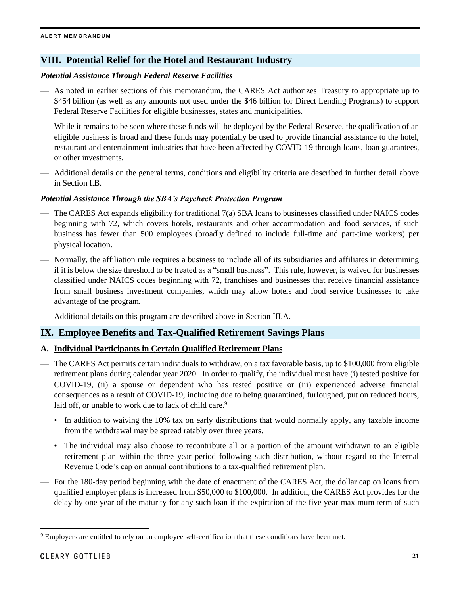# <span id="page-20-0"></span>**VIII. Potential Relief for the Hotel and Restaurant Industry**

### *Potential Assistance Through Federal Reserve Facilities*

- As noted in earlier sections of this memorandum, the CARES Act authorizes Treasury to appropriate up to \$454 billion (as well as any amounts not used under the \$46 billion for Direct Lending Programs) to support Federal Reserve Facilities for eligible businesses, states and municipalities.
- While it remains to be seen where these funds will be deployed by the Federal Reserve, the qualification of an eligible business is broad and these funds may potentially be used to provide financial assistance to the hotel, restaurant and entertainment industries that have been affected by COVID-19 through loans, loan guarantees, or other investments.
- Additional details on the general terms, conditions and eligibility criteria are described in further detail above in Section I.B.

### *Potential Assistance Through the SBA's Paycheck Protection Program*

- The CARES Act expands eligibility for traditional 7(a) SBA loans to businesses classified under NAICS codes beginning with 72, which covers hotels, restaurants and other accommodation and food services, if such business has fewer than 500 employees (broadly defined to include full-time and part-time workers) per physical location.
- Normally, the affiliation rule requires a business to include all of its subsidiaries and affiliates in determining if it is below the size threshold to be treated as a "small business". This rule, however, is waived for businesses classified under NAICS codes beginning with 72, franchises and businesses that receive financial assistance from small business investment companies, which may allow hotels and food service businesses to take advantage of the program.
- Additional details on this program are described above in Section III.A.

# <span id="page-20-1"></span>**IX. Employee Benefits and Tax-Qualified Retirement Savings Plans**

### **A. Individual Participants in Certain Qualified Retirement Plans**

- The CARES Act permits certain individuals to withdraw, on a tax favorable basis, up to \$100,000 from eligible retirement plans during calendar year 2020. In order to qualify, the individual must have (i) tested positive for COVID-19, (ii) a spouse or dependent who has tested positive or (iii) experienced adverse financial consequences as a result of COVID-19, including due to being quarantined, furloughed, put on reduced hours, laid off, or unable to work due to lack of child care.<sup>9</sup>
	- In addition to waiving the 10% tax on early distributions that would normally apply, any taxable income from the withdrawal may be spread ratably over three years.
	- The individual may also choose to recontribute all or a portion of the amount withdrawn to an eligible retirement plan within the three year period following such distribution, without regard to the Internal Revenue Code's cap on annual contributions to a tax-qualified retirement plan.
- For the 180-day period beginning with the date of enactment of the CARES Act, the dollar cap on loans from qualified employer plans is increased from \$50,000 to \$100,000. In addition, the CARES Act provides for the delay by one year of the maturity for any such loan if the expiration of the five year maximum term of such

 $\overline{\phantom{a}}$ 

<sup>9</sup> Employers are entitled to rely on an employee self-certification that these conditions have been met.